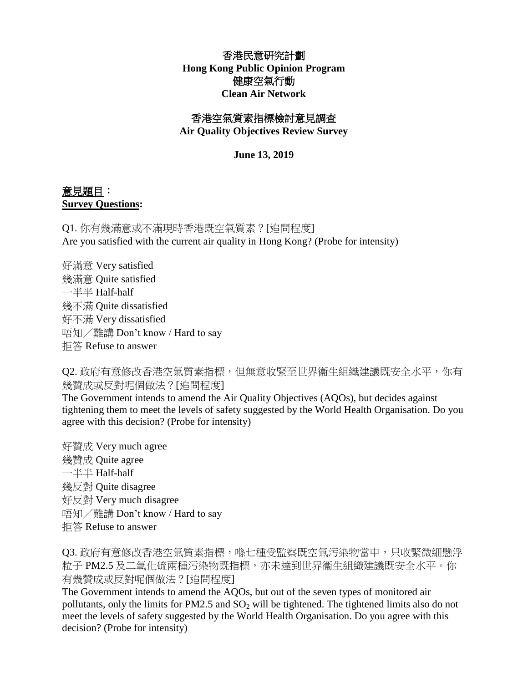香港民意研究計劃 **Hong Kong Public Opinion Program** 健康空氣行動 **Clean Air Network**

## 香港空氣質素指標檢討意見調查

**Air Quality Objectives Review Survey**

**June 13, 2019**

## 意見題目: **Survey Questions:**

Q1. 你有幾滿意或不滿現時香港既空氣質素?[追問程度] Are you satisfied with the current air quality in Hong Kong? (Probe for intensity)

好滿意 Very satisfied 幾滿意 Quite satisfied 一半半 Half-half 幾不滿 Quite dissatisfied 好不滿 Very dissatisfied 唔知/難講 Don't know / Hard to say 拒答 Refuse to answer

Q2. 政府有意修改香港空氣質素指標,但無意收緊至世界衞生組織建議既安全水平,你有 幾贊成或反對呢個做法?[追問程度]

The Government intends to amend the Air Quality Objectives (AQOs), but decides against tightening them to meet the levels of safety suggested by the World Health Organisation. Do you agree with this decision? (Probe for intensity)

好贊成 Very much agree 幾贊成 Quite agree 一半半 Half-half 幾反對 Quite disagree 好反對 Very much disagree 唔知/難講 Don't know / Hard to say 拒答 Refuse to answer

Q3. 政府有意修改香港空氣質素指標,喺七種受監察既空氣污染物當中,只收緊微細懸浮 粒子 PM2.5 及二氧化硫兩種污染物既指標,亦未達到世界衞生組織建議既安全水平。你 有幾贊成或反對呢個做法?[追問程度]

The Government intends to amend the AQOs, but out of the seven types of monitored air pollutants, only the limits for PM2.5 and  $SO<sub>2</sub>$  will be tightened. The tightened limits also do not meet the levels of safety suggested by the World Health Organisation. Do you agree with this decision? (Probe for intensity)